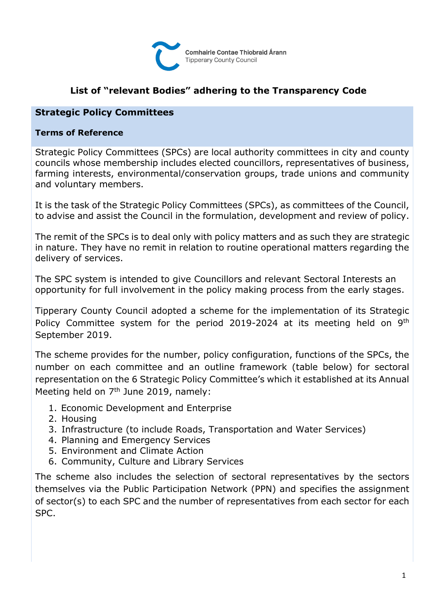

### **Strategic Policy Committees**

#### **Terms of Reference**

Strategic Policy Committees (SPCs) are local authority committees in city and county councils whose membership includes elected councillors, representatives of business, farming interests, environmental/conservation groups, trade unions and community and voluntary members.

It is the task of the Strategic Policy Committees (SPCs), as committees of the Council, to advise and assist the Council in the formulation, development and review of policy.

The remit of the SPCs is to deal only with policy matters and as such they are strategic in nature. They have no remit in relation to routine operational matters regarding the delivery of services.

The SPC system is intended to give Councillors and relevant Sectoral Interests an opportunity for full involvement in the policy making process from the early stages.

Tipperary County Council adopted a scheme for the implementation of its Strategic Policy Committee system for the period 2019-2024 at its meeting held on 9<sup>th</sup> September 2019.

The scheme provides for the number, policy configuration, functions of the SPCs, the number on each committee and an outline framework (table below) for sectoral representation on the 6 Strategic Policy Committee's which it established at its Annual Meeting held on 7<sup>th</sup> June 2019, namely:

- 1. Economic Development and Enterprise
- 2. Housing
- 3. Infrastructure (to include Roads, Transportation and Water Services)
- 4. Planning and Emergency Services
- 5. Environment and Climate Action
- 6. Community, Culture and Library Services

The scheme also includes the selection of sectoral representatives by the sectors themselves via the Public Participation Network (PPN) and specifies the assignment of sector(s) to each SPC and the number of representatives from each sector for each SPC.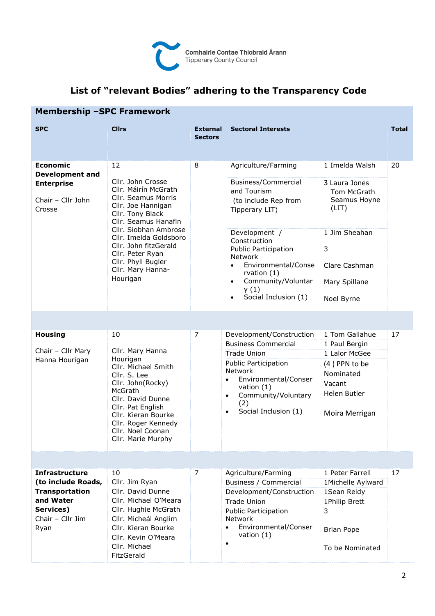

| <b>Membership -SPC Framework</b>                                                                                           |                                                                                                                                                                                                                                                                                                 |                                   |                                                                                                                                                                                                                                                                                                                     |                                                                                                                                               |              |
|----------------------------------------------------------------------------------------------------------------------------|-------------------------------------------------------------------------------------------------------------------------------------------------------------------------------------------------------------------------------------------------------------------------------------------------|-----------------------------------|---------------------------------------------------------------------------------------------------------------------------------------------------------------------------------------------------------------------------------------------------------------------------------------------------------------------|-----------------------------------------------------------------------------------------------------------------------------------------------|--------------|
| <b>SPC</b>                                                                                                                 | <b>Clirs</b>                                                                                                                                                                                                                                                                                    | <b>External</b><br><b>Sectors</b> | <b>Sectoral Interests</b>                                                                                                                                                                                                                                                                                           |                                                                                                                                               | <b>Total</b> |
| <b>Economic</b><br><b>Development and</b><br><b>Enterprise</b><br>Chair - Cllr John<br>Crosse                              | 12<br>Cllr. John Crosse<br>Cllr. Máirín McGrath<br>Cllr. Seamus Morris<br>Cllr. Joe Hannigan<br>Cllr. Tony Black<br>Cllr. Seamus Hanafin<br>Cllr. Siobhan Ambrose<br>Cllr. Imelda Goldsboro<br>Cllr. John fitzGerald<br>Cllr. Peter Ryan<br>Cllr. Phyll Bugler<br>Cllr. Mary Hanna-<br>Hourigan | 8                                 | Agriculture/Farming<br>Business/Commercial<br>and Tourism<br>(to include Rep from<br>Tipperary LIT)<br>Development /<br>Construction<br><b>Public Participation</b><br>Network<br>Environmental/Conse<br>$\bullet$<br>rvation $(1)$<br>Community/Voluntar<br>$\bullet$<br>y(1)<br>Social Inclusion (1)<br>$\bullet$ | 1 Imelda Walsh<br>3 Laura Jones<br>Tom McGrath<br>Seamus Hoyne<br>(LIT)<br>1 Jim Sheahan<br>3<br>Clare Cashman<br>Mary Spillane<br>Noel Byrne | 20           |
|                                                                                                                            |                                                                                                                                                                                                                                                                                                 |                                   |                                                                                                                                                                                                                                                                                                                     |                                                                                                                                               |              |
| <b>Housing</b><br>Chair - Cllr Mary<br>Hanna Hourigan                                                                      | 10<br>Cllr. Mary Hanna<br>Hourigan<br>Cllr. Michael Smith<br>Cllr. S. Lee<br>Cllr. John(Rocky)<br>McGrath<br>Cllr. David Dunne<br>Cllr. Pat English<br>Cllr. Kieran Bourke<br>Cllr. Roger Kennedy<br>Cllr. Noel Coonan<br>Cllr. Marie Murphy                                                    | 7                                 | Development/Construction<br><b>Business Commercial</b><br><b>Trade Union</b><br>Public Participation<br><b>Network</b><br>Environmental/Conser<br>$\bullet$<br>vation $(1)$<br>Community/Voluntary<br>$\bullet$<br>(2)<br>Social Inclusion (1)<br>$\bullet$                                                         | 1 Tom Gallahue<br>1 Paul Bergin<br>1 Lalor McGee<br>$(4)$ PPN to be<br>Nominated<br>Vacant<br>Helen Butler<br>Moira Merrigan                  | 17           |
|                                                                                                                            |                                                                                                                                                                                                                                                                                                 |                                   |                                                                                                                                                                                                                                                                                                                     |                                                                                                                                               |              |
| <b>Infrastructure</b><br>(to include Roads,<br><b>Transportation</b><br>and Water<br>Services)<br>Chair - Cllr Jim<br>Ryan | 10<br>Cllr. Jim Ryan<br>Cllr. David Dunne<br>Cllr. Michael O'Meara<br>Cllr. Hughie McGrath<br>Cllr. Micheál Anglim<br>Cllr. Kieran Bourke<br>Cllr. Kevin O'Meara<br>Cllr. Michael<br>FitzGerald                                                                                                 | 7                                 | Agriculture/Farming<br>Business / Commercial<br>Development/Construction<br><b>Trade Union</b><br><b>Public Participation</b><br>Network<br>Environmental/Conser<br>vation $(1)$                                                                                                                                    | 1 Peter Farrell<br>1Michelle Aylward<br>1Sean Reidy<br>1Philip Brett<br>3<br><b>Brian Pope</b><br>To be Nominated                             | 17           |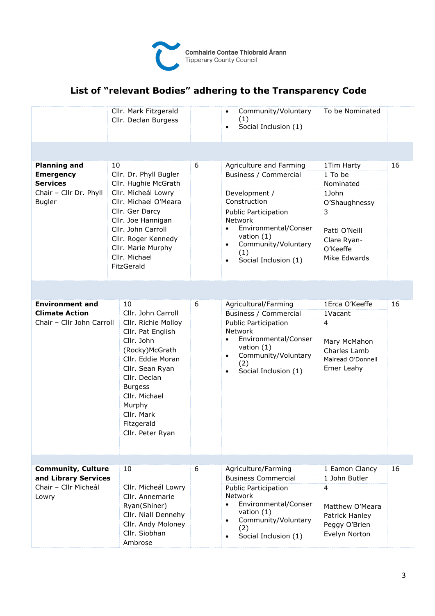

|                                                                                                       | Cllr. Mark Fitzgerald<br>Cllr. Declan Burgess                                                                                                                                                                                                             |   | Community/Voluntary<br>$\bullet$<br>(1)<br>Social Inclusion (1)<br>$\bullet$                                                                                                                                                                                            | To be Nominated                                                                                                               |    |
|-------------------------------------------------------------------------------------------------------|-----------------------------------------------------------------------------------------------------------------------------------------------------------------------------------------------------------------------------------------------------------|---|-------------------------------------------------------------------------------------------------------------------------------------------------------------------------------------------------------------------------------------------------------------------------|-------------------------------------------------------------------------------------------------------------------------------|----|
|                                                                                                       |                                                                                                                                                                                                                                                           |   |                                                                                                                                                                                                                                                                         |                                                                                                                               |    |
| <b>Planning and</b><br><b>Emergency</b><br><b>Services</b><br>Chair - Cllr Dr. Phyll<br><b>Bugler</b> | 10<br>Cllr. Dr. Phyll Bugler<br>Cllr. Hughie McGrath<br>Cllr. Micheál Lowry<br>Cllr. Michael O'Meara<br>Cllr. Ger Darcy<br>Cllr. Joe Hannigan<br>Cllr. John Carroll<br>Cllr. Roger Kennedy<br>Cllr. Marie Murphy<br>Cllr. Michael<br>FitzGerald           | 6 | Agriculture and Farming<br>Business / Commercial<br>Development /<br>Construction<br><b>Public Participation</b><br><b>Network</b><br>Environmental/Conser<br>$\bullet$<br>vation $(1)$<br>Community/Voluntary<br>$\bullet$<br>(1)<br>Social Inclusion (1)<br>$\bullet$ | 1Tim Harty<br>1 To be<br>Nominated<br>1John<br>O'Shaughnessy<br>3<br>Patti O'Neill<br>Clare Ryan-<br>O'Keeffe<br>Mike Edwards | 16 |
|                                                                                                       |                                                                                                                                                                                                                                                           |   |                                                                                                                                                                                                                                                                         |                                                                                                                               |    |
| <b>Environment and</b><br><b>Climate Action</b><br>Chair - Cllr John Carroll                          | 10<br>Cllr. John Carroll<br>Cllr. Richie Molloy<br>Cllr. Pat English<br>Cllr. John<br>(Rocky)McGrath<br>Cllr. Eddie Moran<br>Cllr. Sean Ryan<br>Cllr. Declan<br><b>Burgess</b><br>Cllr. Michael<br>Murphy<br>Cllr. Mark<br>Fitzgerald<br>Cllr. Peter Ryan | 6 | Agricultural/Farming<br>Business / Commercial<br><b>Public Participation</b><br><b>Network</b><br>Environmental/Conser<br>$\bullet$<br>vation $(1)$<br>Community/Voluntary<br>$\bullet$<br>(2)<br>Social Inclusion (1)<br>$\bullet$                                     | 1Erca O'Keeffe<br>1Vacant<br>4<br>Mary McMahon<br>Charles Lamb<br>Mairead O'Donnell<br>Emer Leahy                             | 16 |
| <b>Community, Culture</b><br>and Library Services<br>Chair - Cllr Micheál<br>Lowry                    | 10<br>Cllr. Micheál Lowry<br>Cllr. Annemarie<br>Ryan(Shiner)<br>Cllr. Niall Dennehy<br>Cllr. Andy Moloney<br>Cllr. Siobhan<br>Ambrose                                                                                                                     | 6 | Agriculture/Farming<br><b>Business Commercial</b><br><b>Public Participation</b><br>Network<br>Environmental/Conser<br>$\bullet$<br>vation $(1)$<br>Community/Voluntary<br>$\bullet$<br>(2)<br>Social Inclusion (1)<br>$\bullet$                                        | 1 Eamon Clancy<br>1 John Butler<br>4<br>Matthew O'Meara<br>Patrick Hanley<br>Peggy O'Brien<br>Evelyn Norton                   | 16 |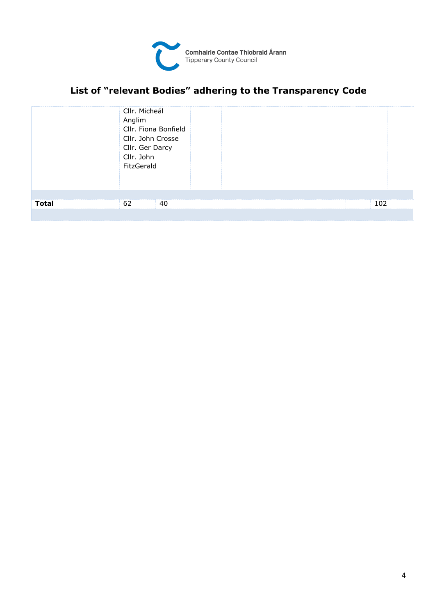

|              | Cllr. Micheál<br>Anglim<br>Cllr. Fiona Bonfield<br>Cllr. John Crosse<br>Cllr. Ger Darcy<br>Cllr. John<br>FitzGerald |     |  |
|--------------|---------------------------------------------------------------------------------------------------------------------|-----|--|
|              |                                                                                                                     |     |  |
| <b>Total</b> | 62<br>40                                                                                                            | 102 |  |
|              |                                                                                                                     |     |  |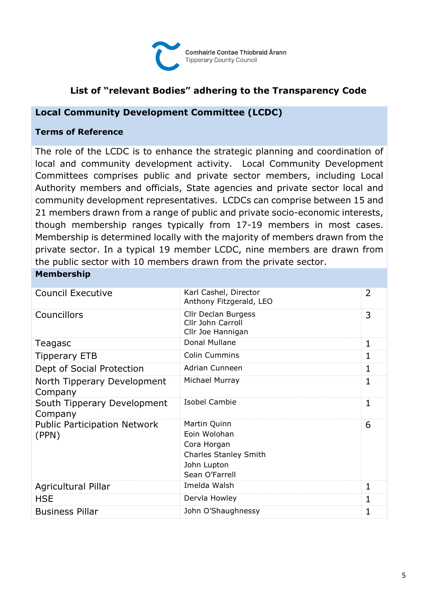

### **Local Community Development Committee (LCDC)**

#### **Terms of Reference**

The role of the LCDC is to enhance the strategic planning and coordination of local and community development activity. Local Community Development Committees comprises public and private sector members, including Local Authority members and officials, State agencies and private sector local and community development representatives. LCDCs can comprise between 15 and 21 members drawn from a range of public and private socio-economic interests, though membership ranges typically from 17-19 members in most cases. Membership is determined locally with the majority of members drawn from the private sector. In a typical 19 member LCDC, nine members are drawn from the public sector with 10 members drawn from the private sector.

#### **Membership**

| <b>Council Executive</b>                     | Karl Cashel, Director<br>Anthony Fitzgerald, LEO                                                             | 2 |
|----------------------------------------------|--------------------------------------------------------------------------------------------------------------|---|
| Councillors                                  | Cllr Declan Burgess<br>Cllr John Carroll<br>Cllr Joe Hannigan                                                | 3 |
| Teagasc                                      | <b>Donal Mullane</b>                                                                                         | 1 |
| <b>Tipperary ETB</b>                         | <b>Colin Cummins</b>                                                                                         | 1 |
| Dept of Social Protection                    | Adrian Cunneen                                                                                               | 1 |
| North Tipperary Development<br>Company       | Michael Murray                                                                                               | 1 |
| South Tipperary Development<br>Company       | Isobel Cambie                                                                                                | 1 |
| <b>Public Participation Network</b><br>(PPN) | Martin Quinn<br>Eoin Wolohan<br>Cora Horgan<br><b>Charles Stanley Smith</b><br>John Lupton<br>Sean O'Farrell | 6 |
| Agricultural Pillar                          | Imelda Walsh                                                                                                 | 1 |
| <b>HSE</b>                                   | Dervla Howley                                                                                                | 1 |
| <b>Business Pillar</b>                       | John O'Shaughnessy                                                                                           |   |
|                                              |                                                                                                              |   |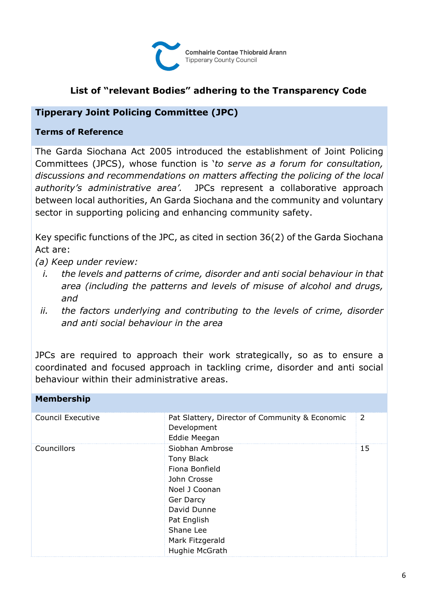

### **Tipperary Joint Policing Committee (JPC)**

#### **Terms of Reference**

The Garda Siochana Act 2005 introduced the establishment of Joint Policing Committees (JPCS), whose function is '*to serve as a forum for consultation, discussions and recommendations on matters affecting the policing of the local authority's administrative area'.* JPCs represent a collaborative approach between local authorities, An Garda Siochana and the community and voluntary sector in supporting policing and enhancing community safety.

Key specific functions of the JPC, as cited in section 36(2) of the Garda Siochana Act are:

*(a) Keep under review:*

- *i. the levels and patterns of crime, disorder and anti social behaviour in that area (including the patterns and levels of misuse of alcohol and drugs, and*
- *ii.* the factors underlying and contributing to the levels of crime, disorder *and anti social behaviour in the area*

JPCs are required to approach their work strategically, so as to ensure a coordinated and focused approach in tackling crime, disorder and anti social behaviour within their administrative areas.

#### **Membership**

| <b>Council Executive</b> | Pat Slattery, Director of Community & Economic<br>Development<br>Eddie Meegan                                                                                                | 2  |
|--------------------------|------------------------------------------------------------------------------------------------------------------------------------------------------------------------------|----|
| Councillors              | Siobhan Ambrose<br>Tony Black<br>Fiona Bonfield<br>John Crosse<br>Noel J Coonan<br>Ger Darcy<br>David Dunne<br>Pat English<br>Shane Lee<br>Mark Fitzgerald<br>Hughie McGrath | 15 |